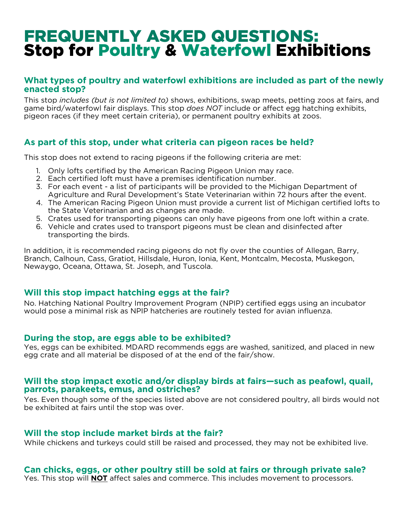# FREQUENTLY ASKED QUESTIONS: Stop for Poultry & Waterfowl Exhibitions

### **What types of poultry and waterfowl exhibitions are included as part of the newly enacted stop?**

This stop *includes (but is not limited to)* shows, exhibitions, swap meets, petting zoos at fairs, and game bird/waterfowl fair displays. This stop *does NOT* include or affect egg hatching exhibits, pigeon races (if they meet certain criteria), or permanent poultry exhibits at zoos.

## **As part of this stop, under what criteria can pigeon races be held?**

This stop does not extend to racing pigeons if the following criteria are met:

- 1. Only lofts certified by the American Racing Pigeon Union may race.
- 2. Each certified loft must have a premises identification number.
- 3. For each event a list of participants will be provided to the Michigan Department of Agriculture and Rural Development's State Veterinarian within 72 hours after the event.
- 4. The American Racing Pigeon Union must provide a current list of Michigan certified lofts to the State Veterinarian and as changes are made.
- 5. Crates used for transporting pigeons can only have pigeons from one loft within a crate.
- 6. Vehicle and crates used to transport pigeons must be clean and disinfected after transporting the birds.

In addition, it is recommended racing pigeons do not fly over the counties of Allegan, Barry, Branch, Calhoun, Cass, Gratiot, Hillsdale, Huron, Ionia, Kent, Montcalm, Mecosta, Muskegon, Newaygo, Oceana, Ottawa, St. Joseph, and Tuscola.

## **Will this stop impact hatching eggs at the fair?**

No. Hatching National Poultry Improvement Program (NPIP) certified eggs using an incubator would pose a minimal risk as NPIP hatcheries are routinely tested for avian influenza.

#### **During the stop, are eggs able to be exhibited?**

Yes, eggs can be exhibited. MDARD recommends eggs are washed, sanitized, and placed in new egg crate and all material be disposed of at the end of the fair/show.

#### **Will the stop impact exotic and/or display birds at fairs—such as peafowl, quail, parrots, parakeets, emus, and ostriches?**

Yes. Even though some of the species listed above are not considered poultry, all birds would not be exhibited at fairs until the stop was over.

#### **Will the stop include market birds at the fair?**

While chickens and turkeys could still be raised and processed, they may not be exhibited live.

## **Can chicks, eggs, or other poultry still be sold at fairs or through private sale?**

Yes. This stop will **NOT** affect sales and commerce. This includes movement to processors.